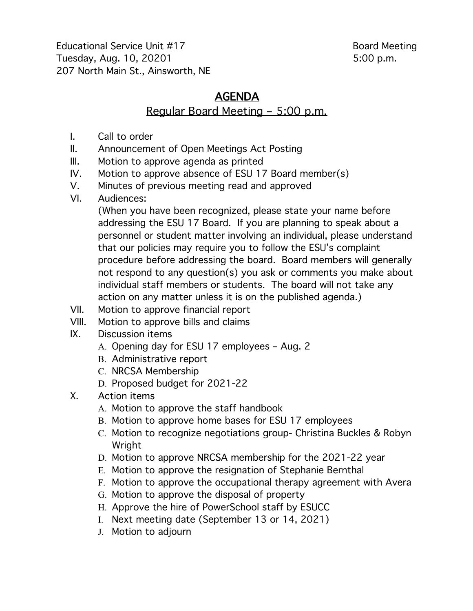Educational Service Unit #17 Board Meeting Tuesday, Aug. 10, 20201 5:00 p.m. 207 North Main St., Ainsworth, NE

# **AGENDA**

### Regular Board Meeting – 5:00 p.m.

- I. Call to order
- II. Announcement of Open Meetings Act Posting
- III. Motion to approve agenda as printed
- IV. Motion to approve absence of ESU 17 Board member(s)
- V. Minutes of previous meeting read and approved
- VI. Audiences:

(When you have been recognized, please state your name before addressing the ESU 17 Board. If you are planning to speak about a personnel or student matter involving an individual, please understand that our policies may require you to follow the ESU's complaint procedure before addressing the board. Board members will generally not respond to any question(s) you ask or comments you make about individual staff members or students. The board will not take any action on any matter unless it is on the published agenda.)

- VII. Motion to approve financial report
- VIII. Motion to approve bills and claims
- IX. Discussion items
	- A. Opening day for ESU 17 employees Aug. 2
	- B. Administrative report
	- C. NRCSA Membership
	- D. Proposed budget for 2021-22
- X. Action items
	- A. Motion to approve the staff handbook
	- B. Motion to approve home bases for ESU 17 employees
	- C. Motion to recognize negotiations group- Christina Buckles & Robyn Wright
	- D. Motion to approve NRCSA membership for the 2021-22 year
	- E. Motion to approve the resignation of Stephanie Bernthal
	- F. Motion to approve the occupational therapy agreement with Avera
	- G. Motion to approve the disposal of property
	- H. Approve the hire of PowerSchool staff by ESUCC
	- I. Next meeting date (September 13 or 14, 2021)
	- J. Motion to adjourn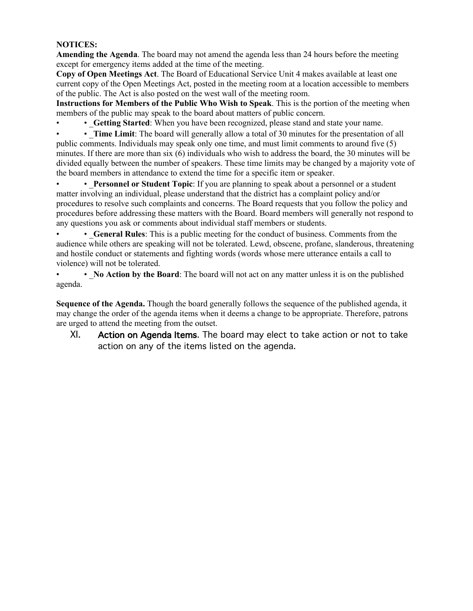#### **NOTICES:**

**Amending the Agenda**. The board may not amend the agenda less than 24 hours before the meeting except for emergency items added at the time of the meeting.

**Copy of Open Meetings Act**. The Board of Educational Service Unit 4 makes available at least one current copy of the Open Meetings Act, posted in the meeting room at a location accessible to members of the public. The Act is also posted on the west wall of the meeting room.

**Instructions for Members of the Public Who Wish to Speak**. This is the portion of the meeting when members of the public may speak to the board about matters of public concern.

• Getting Started: When you have been recognized, please stand and state your name.

• **Time Limit**: The board will generally allow a total of 30 minutes for the presentation of all public comments. Individuals may speak only one time, and must limit comments to around five (5) minutes. If there are more than six (6) individuals who wish to address the board, the 30 minutes will be divided equally between the number of speakers. These time limits may be changed by a majority vote of the board members in attendance to extend the time for a specific item or speaker.

• **• Personnel or Student Topic**: If you are planning to speak about a personnel or a student matter involving an individual, please understand that the district has a complaint policy and/or procedures to resolve such complaints and concerns. The Board requests that you follow the policy and procedures before addressing these matters with the Board. Board members will generally not respond to any questions you ask or comments about individual staff members or students.

• • \_**General Rules**: This is a public meeting for the conduct of business. Comments from the audience while others are speaking will not be tolerated. Lewd, obscene, profane, slanderous, threatening and hostile conduct or statements and fighting words (words whose mere utterance entails a call to violence) will not be tolerated.

• **• No Action by the Board**: The board will not act on any matter unless it is on the published agenda.

**Sequence of the Agenda.** Though the board generally follows the sequence of the published agenda, it may change the order of the agenda items when it deems a change to be appropriate. Therefore, patrons are urged to attend the meeting from the outset.

XI. Action on Agenda Items. The board may elect to take action or not to take action on any of the items listed on the agenda.